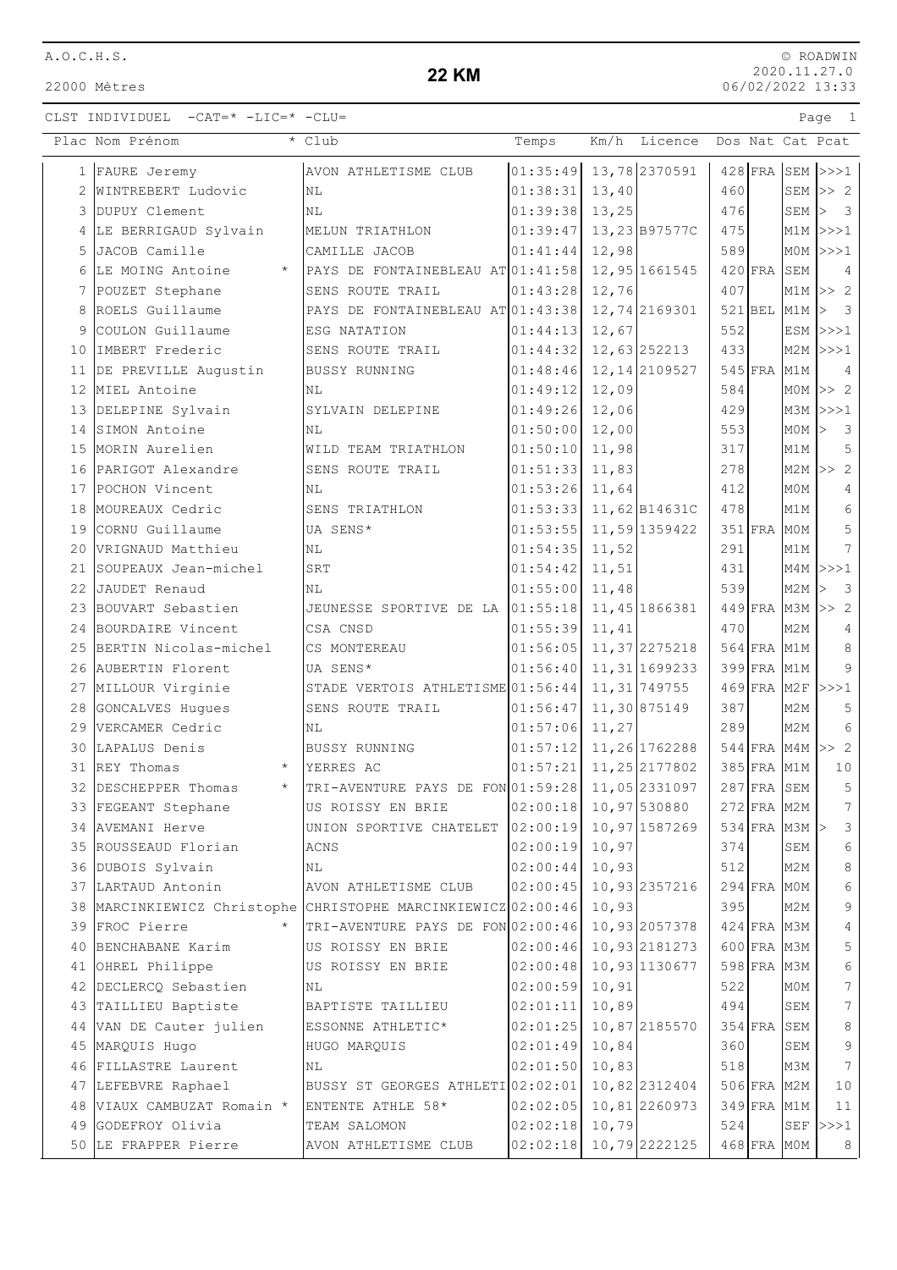22000 Mètres

### **22 KM**

|                 | Plac Nom Prénom                                               | * Club                                                       | Temps            | Km/h<br>Licence           |     |                                |         | Dos Nat Cat Pcat                            |
|-----------------|---------------------------------------------------------------|--------------------------------------------------------------|------------------|---------------------------|-----|--------------------------------|---------|---------------------------------------------|
|                 | 1 FAURE Jeremy                                                | AVON ATHLETISME CLUB                                         |                  | $01:35:49$ 13,78 2370591  |     | $428$ FRA                      |         | $SEM$ $>>1$                                 |
| 2               | WINTREBERT Ludovic                                            | <b>NL</b>                                                    | 01:38:31         | 13,40                     | 460 |                                |         | $SEM \gg 2$                                 |
|                 | 3 DUPUY Clement                                               | N <sub>L</sub>                                               | 01:39:38         | 13,25                     | 476 |                                |         | SEM $>$ 3                                   |
|                 | 4 LE BERRIGAUD Sylvain                                        | MELUN TRIATHLON                                              |                  | $01:39:47$ 13, 23 B97577C | 475 |                                |         | $M1M$ $>>$ $1$                              |
|                 | 5 JACOB Camille                                               | CAMILLE JACOB                                                | $01:41:44$ 12,98 |                           | 589 |                                |         | $MOM$ >>>1                                  |
| 6               | LE MOING Antoine<br>$\star$                                   | PAYS DE FONTAINEBLEAU AT 01:41:58 12,95 1661545              |                  |                           |     | $420$ FRA                      | SEM     | 4                                           |
| 7               | POUZET Stephane                                               | SENS ROUTE TRAIL                                             | 01:43:28         | 12,76                     | 407 |                                |         | $M1M$ >> 2                                  |
| 8               | ROELS Guillaume                                               | PAYS DE FONTAINEBLEAU AT 01:43:38                            |                  | 12,74 2169301             |     | $521$ BEL                      | $M1M$ > | $\overline{\mathbf{3}}$                     |
| 9               | COULON Guillaume                                              | ESG NATATION                                                 | 01:44:13         | 12,67                     | 552 |                                |         | $ESM$ $>>$ $1$                              |
| 10              | IMBERT Frederic                                               | SENS ROUTE TRAIL                                             |                  | $01:44:32$ 12, 63 252213  | 433 |                                |         | $M2M$ $>>$ 1                                |
|                 | 11 DE PREVILLE Augustin                                       | <b>BUSSY RUNNING</b>                                         |                  | $01:48:46$ 12, 14 2109527 |     | $545$ FRA                      | M1M     | $\overline{4}$                              |
| 12 <sup>°</sup> | MIEL Antoine                                                  | <b>NL</b>                                                    | 01:49:12         | 12,09                     | 584 |                                |         | $MOM$ >> 2                                  |
|                 | 13 DELEPINE Sylvain                                           | SYLVAIN DELEPINE                                             | 01:49:26         | 12,06                     | 429 |                                |         | $M3M$ $>>$ 1                                |
|                 | 14 SIMON Antoine                                              | ΝL                                                           | 01:50:00         | 12,00                     | 553 |                                | MOM     | $\overline{\mathbf{3}}$<br>$\triangleright$ |
|                 | 15 MORIN Aurelien                                             | WILD TEAM TRIATHLON                                          | 01:50:10         | 11,98                     | 317 |                                | M1M     | 5                                           |
|                 | 16 PARIGOT Alexandre                                          | SENS ROUTE TRAIL                                             | $01:51:33$ 11,83 |                           | 278 |                                |         | $M2M$ >> 2                                  |
|                 | 17 POCHON Vincent                                             | <b>NL</b>                                                    | 01:53:26         | 11,64                     | 412 |                                | MOM     | $\overline{4}$                              |
|                 | 18 MOUREAUX Cedric                                            | SENS TRIATHLON                                               |                  | $01:53:33$ 11, 62 B14631C | 478 |                                | M1M     | $\sqrt{6}$                                  |
|                 | 19 CORNU Guillaume                                            | UA SENS*                                                     | 01:53:55         | 11,59 1359422             |     | $351$ FRA                      | M0M     | 5                                           |
| 20              | VRIGNAUD Matthieu                                             | ΝL                                                           | 01:54:35         | 11,52                     | 291 |                                | M1M     | $\overline{7}$                              |
| 21              | SOUPEAUX Jean-michel                                          | <b>SRT</b>                                                   | 01:54:42         | 11,51                     | 431 |                                |         | $M4M$ $>>$ 1                                |
| 22              | JAUDET Renaud                                                 | N <sub>L</sub>                                               | 01:55:00         | 11,48                     | 539 |                                | M2M     | $\overline{\mathbf{3}}$                     |
|                 | 23 BOUVART Sebastien                                          | JEUNESSE SPORTIVE DE LA 01:55:18 11,45 1866381               |                  |                           |     |                                |         | $449$ FRA M3M >> 2                          |
|                 | 24 BOURDAIRE Vincent                                          | CSA CNSD                                                     | 01:55:39         | 11,41                     | 470 |                                | M2M     | $\overline{4}$                              |
|                 | 25 BERTIN Nicolas-michel                                      | CS MONTEREAU                                                 |                  | $01:56:05$ 11, 37 2275218 |     | 564 FRA M1M                    |         | $\,8\,$                                     |
|                 | 26 AUBERTIN Florent                                           | UA SENS*                                                     | 01:56:40         | 11, 31 1699233            |     | 399 FRA M1M                    |         | $\mathsf 9$                                 |
|                 | 27 MILLOUR Virginie                                           | STADE VERTOIS ATHLETISME 01:56:44                            |                  | 11, 31 749755             |     | $469$ FRA M2F                  |         | >>>1                                        |
|                 | 28 GONCALVES Hugues                                           | SENS ROUTE TRAIL                                             | 01:56:47         | 11,30 875149              | 387 |                                | M2M     | $\mathsf S$                                 |
|                 | 29 VERCAMER Cedric                                            | ΝL                                                           | 01:57:06         | 11,27                     | 289 |                                | M2M     | $6\,$<br>$544$ FRA M4M >> 2                 |
| 30              | LAPALUS Denis<br>REY Thomas<br>$\star$                        | <b>BUSSY RUNNING</b>                                         |                  | $01:57:12$ 11, 26 1762288 |     |                                |         |                                             |
| 31              | 32 DESCHEPPER Thomas<br>$\star$                               | YERRES AC<br>TRI-AVENTURE PAYS DE FON 01:59:28 11,05 2331097 | 01:57:21         | 11,25 2177802             |     | 385 FRA M1M<br>$287$ FRA SEM   |         | $10$<br>5                                   |
|                 | 33 FEGEANT Stephane                                           | US ROISSY EN BRIE                                            |                  | $02:00:18$ 10,97 530880   |     | $272$ FRA M2M                  |         | $7\overline{ }$                             |
|                 |                                                               | UNION SPORTIVE CHATELET 02:00:19                             |                  | 10,97 1587269             |     | $534$ FRA M3M $\triangleright$ |         | 3                                           |
|                 | 34 AVEMANI Herve<br>35 ROUSSEAUD Florian                      | <b>ACNS</b>                                                  | $02:00:19$ 10,97 |                           | 374 |                                | SEM     | 6                                           |
|                 | 36 DUBOIS Sylvain                                             | NL                                                           | 02:00:44         | 10,93                     | 512 |                                | M2M     | $\,8\,$                                     |
|                 | 37 LARTAUD Antonin                                            | AVON ATHLETISME CLUB                                         | 02:00:45         | 10,93 2357216             |     | 294 FRA MOM                    |         | $\epsilon$                                  |
|                 | 38 MARCINKIEWICZ Christophe CHRISTOPHE MARCINKIEWICZ 02:00:46 |                                                              |                  | 10,93                     |     | 395                            | M2M     | $\mathsf 9$                                 |
|                 | 39 FROC Pierre                                                | TRI-AVENTURE PAYS DE FON 02:00:46                            |                  | 10,93 2057378             |     | 424 FRA M3M                    |         | 4                                           |
|                 | 40 BENCHABANE Karim                                           | US ROISSY EN BRIE                                            |                  | $02:00:46$ 10,93 2181273  |     | 600 FRA M3M                    |         | 5                                           |
|                 | 41 OHREL Philippe                                             | US ROISSY EN BRIE                                            |                  | $02:00:48$ 10, 93 1130677 |     | $598$ FRA                      | мЗМ     | 6                                           |
|                 | 42 DECLERCQ Sebastien                                         | ΝL                                                           | 02:00:59         | 10,91                     | 522 |                                | M0M     | $\boldsymbol{7}$                            |
|                 | 43 TAILLIEU Baptiste                                          | BAPTISTE TAILLIEU                                            | 02:01:11         | 10,89                     | 494 |                                | SEM     | $\boldsymbol{7}$                            |
|                 | 44 VAN DE Cauter julien                                       | ESSONNE ATHLETIC*                                            | 02:01:25         | 10,87 2185570             |     | $354$ FRA                      | SEM     | 8                                           |
| 45              | MARQUIS Hugo                                                  | HUGO MARQUIS                                                 | 02:01:49         | 10,84                     |     | 360                            | SEM     | $\mathsf 9$                                 |
| 46              | FILLASTRE Laurent                                             | ΝL                                                           | 02:01:50         | 10,83                     | 518 |                                | M3M     | $7\phantom{.0}$                             |
|                 | 47 LEFEBVRE Raphael                                           | BUSSY ST GEORGES ATHLETI 02:02:01                            |                  | 10,822312404              |     | 506 FRA M2M                    |         | 10                                          |
|                 | 48 VIAUX CAMBUZAT Romain *                                    | ENTENTE ATHLE 58*                                            | 02:02:05         | 10,81 2260973             |     | 349 FRA M1M                    |         | 11                                          |
|                 | 49 GODEFROY Olivia                                            | TEAM SALOMON                                                 | 02:02:18         | 10,79                     | 524 |                                |         | SEF $ >>$ 1                                 |
|                 | 50 LE FRAPPER Pierre                                          | AVON ATHLETISME CLUB                                         |                  | $02:02:18$ 10,79 2222125  |     | 468 FRA MOM                    |         | 8                                           |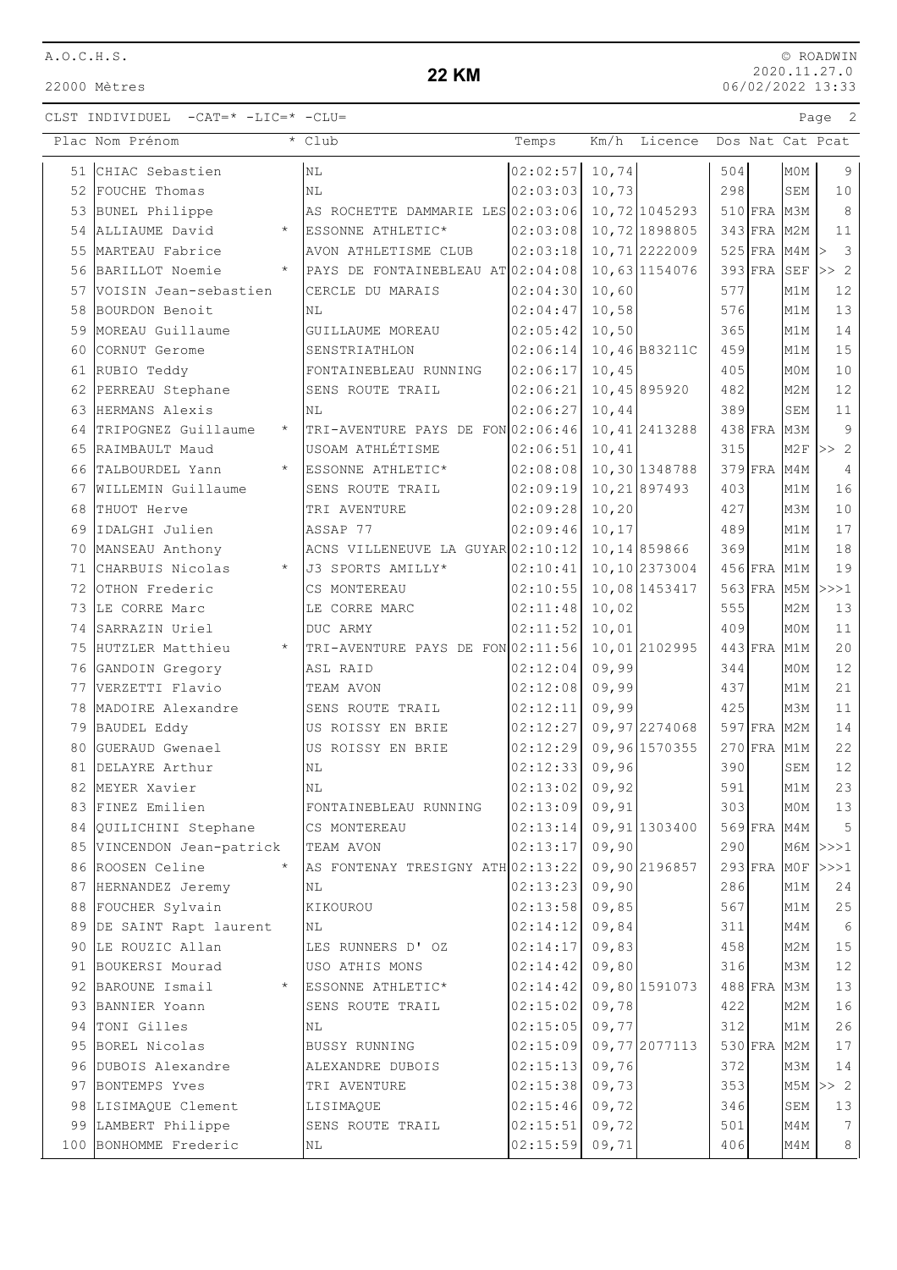22000 Mètres

#### **22 KM**

|    | Plac Nom Prénom                |         | * Club                                | Temps                |        | Km/h Licence   |     |                          |                  | Dos Nat Cat Pcat     |
|----|--------------------------------|---------|---------------------------------------|----------------------|--------|----------------|-----|--------------------------|------------------|----------------------|
|    | 51 CHIAC Sebastien             |         | N <sub>L</sub>                        | 02:02:57             | 10,74  |                | 504 |                          | MOM              | 9                    |
|    | 52 FOUCHE Thomas               |         | N <sub>L</sub>                        | 02:03:03             | 10,73  |                | 298 |                          | SEM              | 10                   |
|    | 53 BUNEL Philippe              |         | AS ROCHETTE DAMMARIE LES 02:03:06     |                      |        | 10,72 1045293  |     | 510 FRA M3M              |                  | 8                    |
|    | 54 ALLIAUME David              | $\star$ | ESSONNE ATHLETIC*                     | 02:03:08             |        | 10,72 1898805  |     | 343 FRA M2M              |                  | 11                   |
| 55 | MARTEAU Fabrice                |         | AVON ATHLETISME CLUB                  | 02:03:18             |        | 10,712222009   |     | 525 FRA M4M              |                  | $\overline{3}$<br> > |
|    | 56 BARILLOT Noemie             | $\star$ | PAYS DE FONTAINEBLEAU AT 02:04:08     |                      |        | 10,63 1154076  |     | $393$ FRA SEF            |                  | >> 2                 |
|    | 57 VOISIN Jean-sebastien       |         | CERCLE DU MARAIS                      | 02:04:30             | 10,60  |                | 577 |                          | M1M              | 12                   |
| 58 | BOURDON Benoit                 |         | ΝL                                    | 02:04:47             | 10,58  |                | 576 |                          | M1M              | 13                   |
| 59 | MOREAU Guillaume               |         | GUILLAUME MOREAU                      | 02:05:42             | 10, 50 |                | 365 |                          | M1M              | $1\,4$               |
| 60 | CORNUT Gerome                  |         | SENSTRIATHLON                         | 02:06:14             |        | 10,46 B83211C  | 459 |                          | M1M              | 15                   |
|    | 61 RUBIO Teddy                 |         | FONTAINEBLEAU RUNNING                 | 02:06:17             | 10,45  |                | 405 |                          | M0M              | 10                   |
|    | 62 PERREAU Stephane            |         | SENS ROUTE TRAIL                      | 02:06:21             |        | 10,45 895920   | 482 |                          | M <sub>2M</sub>  | $12\,$               |
|    | 63 HERMANS Alexis              |         | ΝL                                    | 02:06:27             | 10,44  |                | 389 |                          | ${\tt SEM}$      | 11                   |
| 64 | TRIPOGNEZ Guillaume            | $\star$ | TRI-AVENTURE PAYS DE FON 02:06:46     |                      |        | 10,412413288   |     | 438 FRA M3M              |                  | 9                    |
|    | 65 RAIMBAULT Maud              |         | USOAM ATHLÉTISME                      | 02:06:51             | 10,41  |                | 315 |                          | M2F              | >> 2                 |
|    | 66 TALBOURDEL Yann             |         | ESSONNE ATHLETIC*                     | 02:08:08             |        | 10,30 1348788  |     | $379$ FRA M4M            |                  | $\overline{4}$       |
|    | 67 WILLEMIN Guillaume          |         | SENS ROUTE TRAIL                      | 02:09:19             |        | 10, 21 897493  | 403 |                          | M1M              | 16                   |
| 68 | THUOT Herve                    |         | TRI AVENTURE                          | 02:09:28             | 10, 20 |                | 427 |                          | МЗМ              | $10$                 |
| 69 | IDALGHI Julien                 |         | ASSAP 77                              | 02:09:46             | 10, 17 |                | 489 |                          | M1M              | 17                   |
|    | 70 MANSEAU Anthony             |         | ACNS VILLENEUVE LA GUYAR 02:10:12     |                      |        | 10, 14 859866  | 369 |                          | M1M              | 18                   |
|    | 71 CHARBUIS Nicolas            | $\star$ | J3 SPORTS AMILLY*                     | 02:10:41             |        | 10,10 2373004  |     | 456 FRA M1M              |                  | 19                   |
|    | 72 OTHON Frederic              |         | CS MONTEREAU                          | 02:10:55             |        | 10,08 1453417  |     | 563 FRA M5M              |                  | >>>1                 |
|    | 73 LE CORRE Marc               |         | LE CORRE MARC                         | 02:11:48             | 10,02  |                | 555 |                          | M <sub>2</sub> M | 13                   |
|    | 74 SARRAZIN Uriel              |         | DUC ARMY                              | 02:11:52             | 10,01  |                | 409 |                          | M0M              | 11                   |
|    | 75 HUTZLER Matthieu            |         | * TRI-AVENTURE PAYS DE FON 02:11:56   |                      |        | 10,012102995   |     | $443$ FRA M1M            |                  | 20                   |
|    | 76 GANDOIN Gregory             |         | ASL RAID                              | 02:12:04             | 09,99  |                | 344 |                          | MOM              | 12                   |
|    | 77 VERZETTI Flavio             |         | TEAM AVON                             | 02:12:08             | 09,99  |                | 437 |                          | M1M              | 21                   |
| 78 | MADOIRE Alexandre              |         | SENS ROUTE TRAIL                      | 02:12:11             | 09,99  |                | 425 |                          | МЗМ              | 11                   |
| 79 | BAUDEL Eddy<br>GUERAUD Gwenael |         | US ROISSY EN BRIE                     | 02:12:27             |        | 09,97 2274068  |     | 597 FRA M2M<br>$270$ FRA | M1M              | 14<br>22             |
| 80 | 81 DELAYRE Arthur              |         | US ROISSY EN BRIE<br>NL               | 02:12:29<br>02:12:33 | 09,96  | 09,96 1570355  | 390 |                          | SEM              | $12$                 |
|    | 82 MEYER Xavier                |         | N <sub>L</sub>                        | 02:13:02             | 09,92  |                | 591 |                          | M1M              | 23                   |
| 83 | FINEZ Emilien                  |         |                                       | $02:13:09$ 09,91     |        |                | 303 |                          | MOM              | 13                   |
| 84 | QUILICHINI Stephane            |         | FONTAINEBLEAU RUNNING<br>CS MONTEREAU | 02:13:14             |        | 09,91 1303400  |     | 569 FRA M4M              |                  | 5                    |
|    | 85 VINCENDON Jean-patrick      |         | TEAM AVON                             | 02:13:17             | 09,90  |                | 290 |                          |                  | $M6M$ $>>$ $1$       |
|    | 86 ROOSEN Celine               | $\star$ | AS FONTENAY TRESIGNY ATH 02:13:22     |                      |        | 09,90 2196857  |     | $293$ FRA MOF            |                  | >>>1                 |
|    | 87 HERNANDEZ Jeremy            |         | ΝL                                    | 02:13:23             | 09,90  |                | 286 |                          | M1M              | 24                   |
|    | 88 FOUCHER Sylvain             |         | KIKOUROU                              | 02:13:58             | 09,85  |                | 567 |                          | M1M              | 25                   |
|    | 89 DE SAINT Rapt laurent       |         | ΝL                                    | 02:14:12             | 09,84  |                | 311 |                          | M4M              | 6                    |
|    | 90 LE ROUZIC Allan             |         | LES RUNNERS D' OZ                     | 02:14:17             | 09,83  |                | 458 |                          | M2M              | 15                   |
|    | 91 BOUKERSI Mourad             |         | USO ATHIS MONS                        | 02:14:42             | 09,80  |                | 316 |                          | МЗМ              | 12                   |
|    | 92 BAROUNE Ismail              | $\star$ | ESSONNE ATHLETIC*                     | 02:14:42             |        | 09,80 1591073  |     | 488 FRA M3M              |                  | 13                   |
|    | 93 BANNIER Yoann               |         | SENS ROUTE TRAIL                      | 02:15:02             | 09,78  |                | 422 |                          | M2M              | 16                   |
| 94 | TONI Gilles                    |         | ΝL                                    | 02:15:05             | 09,77  |                | 312 |                          | M1M              | 26                   |
|    | 95 BOREL Nicolas               |         | <b>BUSSY RUNNING</b>                  | 02:15:09             |        | 09, 77 2077113 |     | $530$ FRA                | M2M              | $17$                 |
|    | 96 DUBOIS Alexandre            |         | ALEXANDRE DUBOIS                      | 02:15:13             | 09,76  |                | 372 |                          | МЗМ              | 14                   |
|    | 97 BONTEMPS Yves               |         | TRI AVENTURE                          | 02:15:38             | 09,73  |                | 353 |                          | M5M              | >> 2                 |
|    | 98 LISIMAQUE Clement           |         | LISIMAQUE                             | 02:15:46             | 09,72  |                | 346 |                          | SEM              | 13                   |
|    | 99 LAMBERT Philippe            |         | SENS ROUTE TRAIL                      | 02:15:51             | 09,72  |                | 501 |                          | M4M              | $7\phantom{.0}$      |
|    | 100 BONHOMME Frederic          |         | ΝL                                    | 02:15:59             | 09,71  |                | 406 |                          | M4M              | 8                    |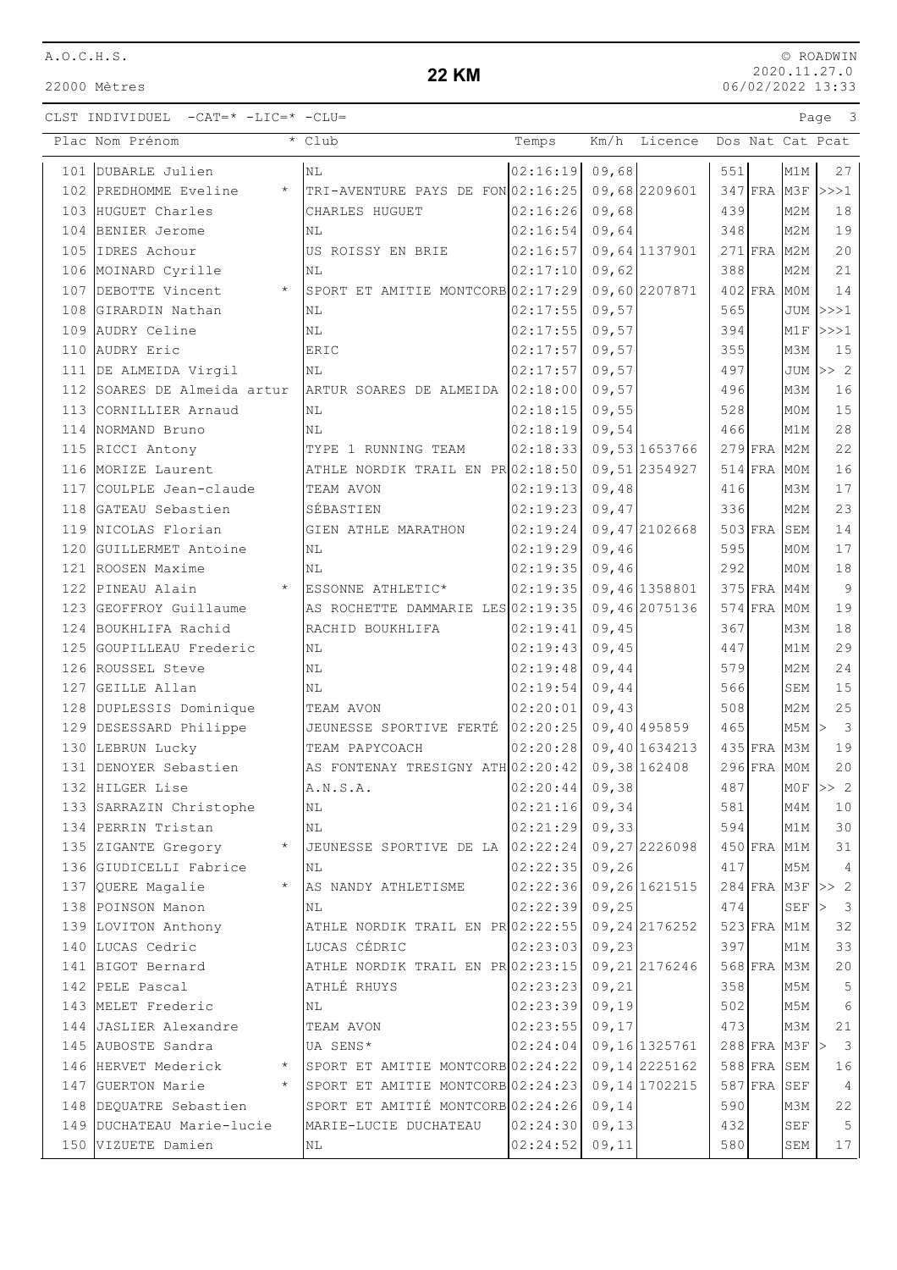22000 Mètres

### **22 KM**

© ROADWIN 2020.11.27.0 06/02/2022 13:33

|     | Plac Nom Prénom                | * Club                              | Temps            | Km/h   | Licence        |           |               |                  | Dos Nat Cat Pcat        |
|-----|--------------------------------|-------------------------------------|------------------|--------|----------------|-----------|---------------|------------------|-------------------------|
|     | 101 DUBARLE Julien             | N <sub>L</sub>                      | 02:16:19         | 09,68  |                | 551       |               | M1M              | 27                      |
|     | 102 PREDHOMME Eveline          | * TRI-AVENTURE PAYS DE FON 02:16:25 |                  |        | 09,68 2209601  |           | $347$ FRA M3F |                  | >>>1                    |
|     | 103 HUGUET Charles             | CHARLES HUGUET                      | 02:16:26         | 09,68  |                | 439       |               | M <sub>2</sub> M | 18                      |
|     | 104 BENIER Jerome              | N <sub>L</sub>                      | 02:16:54         | 09,64  |                | 348       |               | M2M              | 19                      |
|     | 105 IDRES Achour               | US ROISSY EN BRIE                   | 02:16:57         |        | 09,64 1137901  | $271$ FRA |               | M2M              | 20                      |
|     | 106 MOINARD Cyrille            | NL                                  | 02:17:10         | 09,62  |                | 388       |               | M2M              | 21                      |
|     | 107 DEBOTTE Vincent<br>$\star$ | SPORT ET AMITIE MONTCORB 02:17:29   |                  |        | 09,60 2207871  |           | $402$ FRA     | M0M              | 14                      |
|     | 108 GIRARDIN Nathan            | ΝL                                  | 02:17:55         | 09,57  |                | 565       |               | JUM              | >>>1                    |
| 109 | AUDRY Celine                   | NL                                  | 02:17:55         | 09,57  |                | 394       |               | M1F              | >>>1                    |
| 110 | AUDRY Eric                     | ERIC                                | 02:17:57         | 09,57  |                | 355       |               | M3M              | 15                      |
|     | 111 DE ALMEIDA Virgil          | <b>NL</b>                           | 02:17:57         | 09,57  |                | 497       |               | <b>JUM</b>       | >> 2                    |
|     | 112 SOARES DE Almeida artur    | ARTUR SOARES DE ALMEIDA 02:18:00    |                  | 09,57  |                | 496       |               | M3M              | 16                      |
|     | 113 CORNILLIER Arnaud          | ΝL                                  | 02:18:15         | 09,55  |                | 528       |               | M0M              | 15                      |
|     | 114 NORMAND Bruno              | NL                                  | 02:18:19         | 09,54  |                | 466       |               | M1M              | $2\,8$                  |
|     | 115 RICCI Antony               | TYPE 1 RUNNING TEAM                 | 02:18:33         |        | 09,53 1653766  |           | $279$ FRA     | M2M              | 22                      |
|     | 116 MORIZE Laurent             | ATHLE NORDIK TRAIL EN PR 02:18:50   |                  |        | 09,512354927   |           | 514 FRA MOM   |                  | 16                      |
|     | 117 COULPLE Jean-claude        | TEAM AVON                           | 02:19:13         | 09,48  |                | 416       |               | M3M              | 17                      |
|     | 118 GATEAU Sebastien           | SÉBASTIEN                           | 02:19:23         | 09,47  |                | 336       |               | M <sub>2</sub> M | 23                      |
|     | 119 NICOLAS Florian            | <b>GIEN ATHLE MARATHON</b>          | 02:19:24         |        | 09,47 2102668  | $503$ FRA |               | SEM              | $1\,4$                  |
| 120 | GUILLERMET Antoine             | NL                                  | 02:19:29         | 09,46  |                | 595       |               | M <sub>0</sub> M | $1\,7$                  |
|     | 121 ROOSEN Maxime              | N <sub>L</sub>                      | 02:19:35         | 09,46  |                | 292       |               | M0M              | 18                      |
|     | 122 PINEAU Alain<br>$\star$    | ESSONNE ATHLETIC*                   | 02:19:35         |        | 09,46 1358801  |           | $375$ FRA     | M4M              | $\overline{9}$          |
|     | 123 GEOFFROY Guillaume         | AS ROCHETTE DAMMARIE LES 02:19:35   |                  |        | 09,46 2075136  |           | $574$ FRA     | M0M              | 19                      |
|     | 124 BOUKHLIFA Rachid           | RACHID BOUKHLIFA                    | 02:19:41         | 09,45  |                | 367       |               | M3M              | $1\,8$                  |
|     | 125 GOUPILLEAU Frederic        | <b>NL</b>                           | 02:19:43         | 09,45  |                | 447       |               | M1M              | 29                      |
|     | 126 ROUSSEL Steve              | N <sub>L</sub>                      | 02:19:48         | 09,44  |                | 579       |               | M <sub>2M</sub>  | 24                      |
|     | 127 GEILLE Allan               | NL                                  | 02:19:54         | 09,44  |                | 566       |               | SEM              | 15                      |
|     | 128 DUPLESSIS Dominique        | TEAM AVON                           | 02:20:01         | 09,43  |                | 508       |               | M <sub>2</sub> M | 25                      |
|     | 129 DESESSARD Philippe         | JEUNESSE SPORTIVE FERTÉ 02:20:25    |                  |        | 09,40 495859   | 465       |               | M5M              | $\overline{3}$<br> >    |
|     | 130 LEBRUN Lucky               | TEAM PAPYCOACH                      | 02:20:28         |        | 09,40 1634213  |           | $435$ FRA     | МЗМ              | 19                      |
|     | 131 DENOYER Sebastien          | AS FONTENAY TRESIGNY ATH 02:20:42   |                  |        | 09,38 162408   |           | $296$ FRA MOM |                  | 20                      |
|     | 132 HILGER Lise                | A.N.S.A.                            | 02:20:44         | 09,38  |                | 487       |               | M0F              | >> 2                    |
|     | 133 SARRAZIN Christophe        | ΝL                                  | $02:21:16$ 09,34 |        |                | 581       |               | M4M              | 10                      |
|     | 134 PERRIN Tristan             | NL                                  | 02:21:29         | 09, 33 |                | 594       |               | M1M              | 30                      |
|     | 135 ZIGANTE Gregory            | JEUNESSE SPORTIVE DE LA             | 02:22:24         |        | 09,27 2226098  |           | 450 FRA M1M   |                  | 31                      |
|     | 136 GIUDICELLI Fabrice         | NL                                  | 02:22:35         | 09, 26 |                | 417       |               | M5M              | 4                       |
|     | 137 QUERE Magalie<br>$\star$   | AS NANDY ATHLETISME                 | 02:22:36         |        | 09,26 1621515  |           | $284$ FRA M3F |                  | >> 2                    |
|     | 138 POINSON Manon              | NL                                  | 02:22:39         | 09,25  |                | 474       |               | SEF              | $\overline{\mathbf{3}}$ |
|     | 139 LOVITON Anthony            | ATHLE NORDIK TRAIL EN PR 02:22:55   |                  |        | 09, 24 2176252 |           | 523 FRA M1M   |                  | 32                      |
|     | 140 LUCAS Cedric               | LUCAS CÉDRIC                        | 02:23:03         | 09,23  |                | 397       |               | M1M              | 33                      |
|     | 141 BIGOT Bernard              | ATHLE NORDIK TRAIL EN PR 02:23:15   |                  |        | 09, 21 2176246 |           | 568 FRA M3M   |                  | 20                      |
|     | 142 PELE Pascal                | ATHLÉ RHUYS                         | 02:23:23         | 09, 21 |                | 358       |               | M5M              | 5                       |
|     | 143 MELET Frederic             | ΝL                                  | 02:23:39         | 09,19  |                | 502       |               | M5M              | 6                       |
|     | 144 JASLIER Alexandre          | TEAM AVON                           | 02:23:55         | 09, 17 |                | 473       |               | M3M              | 21                      |
|     | 145 AUBOSTE Sandra             | UA SENS*                            | 02:24:04         |        | 09,16 1325761  |           | 288 FRA M3F   |                  | $\mathbf{3}$            |
|     | 146 HERVET Mederick            | SPORT ET AMITIE MONTCORB 02:24:22   |                  |        | 09, 14 2225162 |           | 588 FRA SEM   |                  | 16                      |
|     | 147 GUERTON Marie<br>$\star$   | SPORT ET AMITIE MONTCORB 02:24:23   |                  |        | 09, 14 1702215 |           | $587$ FRA     | SEF              | 4                       |
|     | 148 DEQUATRE Sebastien         | SPORT ET AMITIÉ MONTCORB 02:24:26   |                  | 09,14  |                | 590       |               | мЗм              | 22                      |
|     | 149 DUCHATEAU Marie-lucie      | MARIE-LUCIE DUCHATEAU               | 02:24:30         | 09, 13 |                | 432       |               | <b>SEF</b>       | 5                       |
|     | 150 VIZUETE Damien             | ΝL                                  | 02:24:52         | 09, 11 |                | 580       |               | SEM              | 17                      |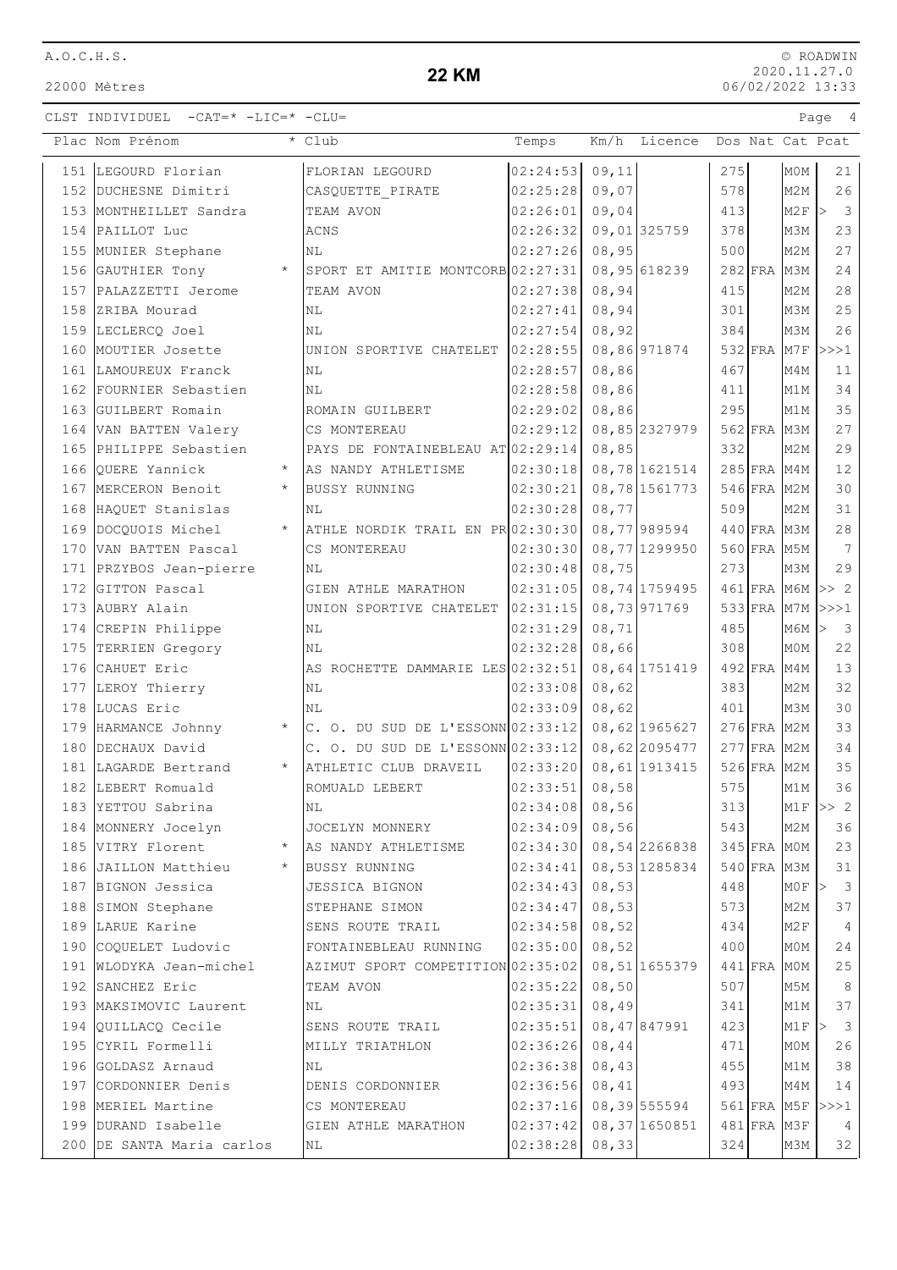22000 Mètres

## **22 KM**

|     | Plac Nom Prénom                 | * Club                               | Temps            | Km/h   | Licence        |     |               |                  | Dos Nat Cat Pcat                       |
|-----|---------------------------------|--------------------------------------|------------------|--------|----------------|-----|---------------|------------------|----------------------------------------|
|     | 151 LEGOURD Florian             | FLORIAN LEGOURD                      | 02:24:53         | 09, 11 |                | 275 |               | MOM              | 21                                     |
|     | 152 DUCHESNE Dimitri            | CASQUETTE PIRATE                     | 02:25:28         | 09,07  |                | 578 |               | M <sub>2M</sub>  | 26                                     |
|     | 153 MONTHEILLET Sandra          | TEAM AVON                            | 02:26:01         | 09,04  |                | 413 |               | M2F              | $\overline{\mathbf{3}}$<br>$\vert$ $>$ |
|     | 154 PAILLOT Luc                 | ACNS                                 | 02:26:32         |        | 09,01325759    | 378 |               | M3M              | 23                                     |
|     | 155 MUNIER Stephane             | ΝL                                   | 02:27:26         | 08,95  |                | 500 |               | M <sub>2M</sub>  | 27                                     |
|     | 156 GAUTHIER Tony<br>$\star$    | SPORT ET AMITIE MONTCORB 02:27:31    |                  |        | 08,95 618239   |     | 282 FRA M3M   |                  | 24                                     |
|     | 157 PALAZZETTI Jerome           | TEAM AVON                            | 02:27:38         | 08,94  |                | 415 |               | M <sub>2M</sub>  | 28                                     |
|     | 158 ZRIBA Mourad                | NL                                   | 02:27:41         | 08,94  |                | 301 |               | M3M              | 25                                     |
|     | 159 LECLERCO Joel               | NL                                   | 02:27:54         | 08,92  |                | 384 |               | МЗМ              | 26                                     |
| 160 | MOUTIER Josette                 | UNION SPORTIVE CHATELET 02:28:55     |                  |        | 08,86 971874   |     | $532$ FRA     | M7F              | >>>1                                   |
| 161 | LAMOUREUX Franck                | ΝL                                   | 02:28:57         | 08,86  |                | 467 |               | M4M              | 11                                     |
|     | 162 FOURNIER Sebastien          | N <sub>L</sub>                       | 02:28:58         | 08,86  |                | 411 |               | M1M              | 34                                     |
|     | 163 GUILBERT Romain             | ROMAIN GUILBERT                      | 02:29:02         | 08,86  |                | 295 |               | M1M              | 35                                     |
|     | 164 VAN BATTEN Valery           | CS MONTEREAU                         | 02:29:12         |        | 08,85 2327979  |     | 562 FRA M3M   |                  | 27                                     |
|     | 165 PHILIPPE Sebastien          | PAYS DE FONTAINEBLEAU AT 02:29:14    |                  | 08,85  |                | 332 |               | M2M              | 29                                     |
|     | 166 QUERE Yannick<br>$\star$    | AS NANDY ATHLETISME                  | 02:30:18         |        | 08,78 1621514  |     | 285 FRA M4M   |                  | 12                                     |
|     | 167 MERCERON Benoit<br>$\star$  | <b>BUSSY RUNNING</b>                 | 02:30:21         |        | 08,78 1561773  |     | 546 FRA M2M   |                  | 30                                     |
| 168 | HAQUET Stanislas                | ΝL                                   | 02:30:28         | 08,77  |                | 509 |               | M <sub>2</sub> M | 31                                     |
|     | 169 DOCQUOIS Michel<br>$\star$  | ATHLE NORDIK TRAIL EN $PR 02:30:30 $ |                  |        | 08,77 989594   |     | 440 FRA M3M   |                  | $2\,8$                                 |
| 170 | VAN BATTEN Pascal               | CS MONTEREAU                         | 02:30:30         |        | 08,77 1299950  |     | $560$ FRA     | M5M              | 7                                      |
|     | 171 PRZYBOS Jean-pierre         | NL                                   | 02:30:48         | 08,75  |                | 273 |               | M3M              | 29                                     |
|     | 172 GITTON Pascal               | GIEN ATHLE MARATHON                  | 02:31:05         |        | 08, 74 1759495 |     | 461 FRA M6M   |                  | >> 2                                   |
|     | 173 AUBRY Alain                 | UNION SPORTIVE CHATELET 02:31:15     |                  |        | 08,73971769    |     | 533 FRA M7M   |                  | >>>1                                   |
|     | 174 CREPIN Philippe             | ΝL                                   | 02:31:29         | 08, 71 |                | 485 |               | МбМ              | $\overline{\mathbf{3}}$<br>l>          |
|     | 175 TERRIEN Gregory             | ΝL                                   | 02:32:28         | 08,66  |                | 308 |               | M0M              | 22                                     |
|     | 176 CAHUET Eric                 | AS ROCHETTE DAMMARIE LES 02:32:51    |                  |        | 08,64 1751419  |     | 492 FRA M4M   |                  | 13                                     |
|     | 177 LEROY Thierry               | NL                                   | 02:33:08         | 08,62  |                | 383 |               | M2M              | 32                                     |
|     | 178 LUCAS Eric                  | NL                                   | 02:33:09         | 08,62  |                | 401 |               | M3M              | 30                                     |
|     | 179 HARMANCE Johnny<br>$\star$  | $C.$ O. DU SUD DE L'ESSONN 02:33:12  |                  |        | 08,62 1965627  |     | $276$ FRA M2M |                  | 33                                     |
| 180 | DECHAUX David                   | C. O. DU SUD DE L'ESSONN $02:33:12$  |                  |        | 08,62 2095477  |     | $277$ FRA     | M <sub>2M</sub>  | 34                                     |
|     | 181 LAGARDE Bertrand<br>$\star$ | ATHLETIC CLUB DRAVEIL                | 02:33:20         |        | 08,61 1913415  |     | $526$ FRA     | M2M              | 35                                     |
|     | 182 LEBERT Romuald              | ROMUALD LEBERT                       | 02:33:51         | 08,58  |                | 575 |               | M1M              | 36                                     |
|     | 183 YETTOU Sabrina              | N <sub>L</sub>                       | $02:34:08$ 08,56 |        |                | 313 |               | M1F              | >> 2                                   |
|     | 184 MONNERY Jocelyn             | JOCELYN MONNERY                      | 02:34:09         | 08,56  |                | 543 |               | M2M              | 36                                     |
|     | 185 VITRY Florent               | AS NANDY ATHLETISME                  | 02:34:30         |        | 08,54 2266838  |     | 345 FRA MOM   |                  | 23                                     |
|     | 186 JAILLON Matthieu<br>$\star$ | <b>BUSSY RUNNING</b>                 | 02:34:41         |        | 08,53 1285834  |     | $540$ FRA     | M3M              | 31                                     |
|     | 187 BIGNON Jessica              | JESSICA BIGNON                       | 02:34:43         | 08,53  |                | 448 |               | M0F              | $\overline{\mathbf{3}}$<br>∣>          |
|     | 188 SIMON Stephane              | STEPHANE SIMON                       | 02:34:47         | 08,53  |                | 573 |               | M2M              | 37                                     |
|     | 189 LARUE Karine                | SENS ROUTE TRAIL                     | 02:34:58         | 08,52  |                | 434 |               | M2F              | 4                                      |
|     | 190 COQUELET Ludovic            | FONTAINEBLEAU RUNNING                | 02:35:00         | 08,52  |                | 400 |               | M0M              | 24                                     |
|     | 191 WLODYKA Jean-michel         | AZIMUT SPORT COMPETITION 02:35:02    |                  |        | 08,51 1655379  |     | $441$ FRA     | M0M              | 25                                     |
|     | 192 SANCHEZ Eric                | TEAM AVON                            | 02:35:22         | 08,50  |                | 507 |               | M5M              | 8                                      |
|     | 193 MAKSIMOVIC Laurent          | NL                                   | 02:35:31         | 08,49  |                | 341 |               | M1M              | 37                                     |
|     | 194 QUILLACQ Cecile             | SENS ROUTE TRAIL                     | 02:35:51         |        | 08, 47 847991  | 423 |               | M1F              | $\overline{\mathbf{3}}$<br> >          |
|     | 195 CYRIL Formelli              | MILLY TRIATHLON                      | 02:36:26         | 08,44  |                | 471 |               | M0M              | 26                                     |
|     | 196 GOLDASZ Arnaud              | NL                                   | 02:36:38         | 08,43  |                | 455 |               | M1M              | 38                                     |
|     | 197 CORDONNIER Denis            | DENIS CORDONNIER                     | 02:36:56         | 08,41  |                | 493 |               | M4M              | 14                                     |
|     | 198 MERIEL Martine              | CS MONTEREAU                         | 02:37:16         |        | 08,39 555594   |     | 561 FRA M5F   |                  | >>>1                                   |
|     | 199 DURAND Isabelle             | GIEN ATHLE MARATHON                  | 02:37:42         |        | 08,37 1650851  |     | 481 FRA M3F   |                  | 4                                      |
|     | 200 DE SANTA Maria carlos       | ΝL                                   | 02:38:28         | 08, 33 |                | 324 |               | мЗм              | 32                                     |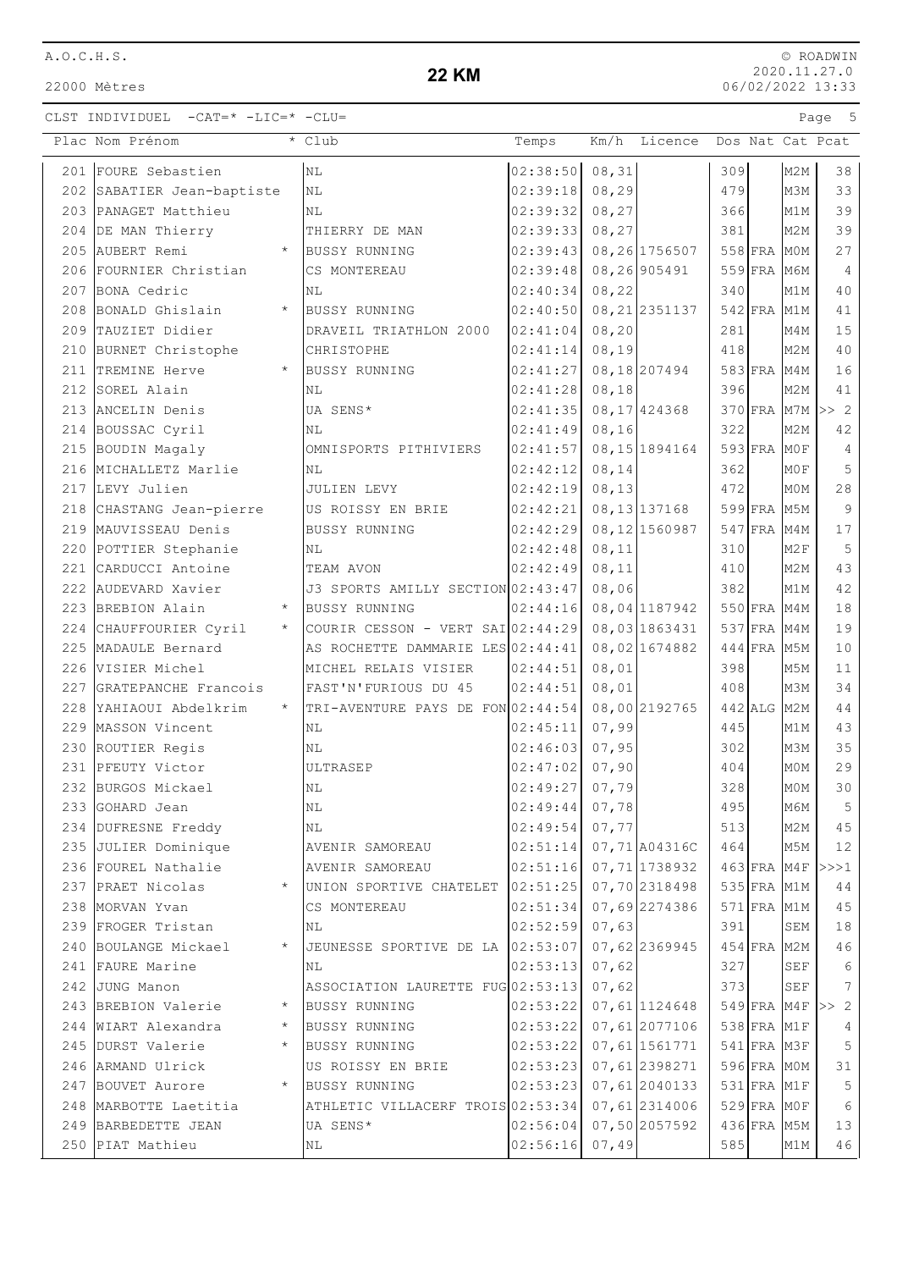22000 Mètres

# **22 KM**

| Plac Nom Prénom                        |         | $\overline{\cdot}$ Club             | Temps                     |        | Km/h Licence Dos Nat Cat Pcat  |     |                            |                 |                  |
|----------------------------------------|---------|-------------------------------------|---------------------------|--------|--------------------------------|-----|----------------------------|-----------------|------------------|
| 201 FOURE Sebastien                    |         | N <sub>L</sub>                      | 02:38:50 08,31            |        |                                | 309 |                            | M2M             | 38               |
| 202 SABATIER Jean-baptiste             |         | NL                                  | 02:39:18                  | 08, 29 |                                | 479 |                            | M3M             | 33               |
| 203 PANAGET Matthieu                   |         | NL                                  | 02:39:32                  | 08, 27 |                                | 366 |                            | M1M             | 39               |
| 204 DE MAN Thierry                     |         | THIERRY DE MAN                      | 02:39:33                  | 08, 27 |                                | 381 |                            | M2M             | 39               |
| 205 AUBERT Remi                        | $\star$ | <b>BUSSY RUNNING</b>                | 02:39:43                  |        | 08,26 1756507                  |     | 558 FRA MOM                |                 | 27               |
| 206 FOURNIER Christian                 |         | CS MONTEREAU                        | 02:39:48                  |        | 08,26 905491                   |     | 559 FRA M6M                |                 | $\overline{4}$   |
| 207 BONA Cedric                        |         | NL                                  | 02:40:34                  | 08, 22 |                                | 340 |                            | M1M             | 40               |
| 208 BONALD Ghislain                    | $\star$ | <b>BUSSY RUNNING</b>                | 02:40:50                  |        | 08, 21 2351137                 |     | 542 FRA M1M                |                 | 41               |
| 209 TAUZIET Didier                     |         | DRAVEIL TRIATHLON 2000              | 02:41:04                  | 08, 20 |                                | 281 |                            | M4M             | 15               |
| 210 BURNET Christophe                  |         | CHRISTOPHE                          | 02:41:14                  | 08, 19 |                                | 418 |                            | M <sub>2M</sub> | 40               |
| 211 TREMINE Herve                      |         | BUSSY RUNNING                       | 02:41:27                  |        | 08,18 207494                   |     | 583 FRA M4M                |                 | 16               |
| 212 SOREL Alain                        |         | NL                                  | 02:41:28                  | 08,18  |                                | 396 |                            | M2M             | 41               |
| 213 ANCELIN Denis                      |         | UA SENS*                            | 02:41:35                  |        | 08, 17 424368                  |     |                            |                 | 370 FRA M7M >> 2 |
| 214 BOUSSAC Cyril                      |         | ΝL                                  | 02:41:49                  | 08, 16 |                                | 322 |                            | M <sub>2M</sub> | 42               |
| 215 BOUDIN Magaly                      |         | OMNISPORTS PITHIVIERS               | $02:41:57$ 08, 15 1894164 |        |                                |     | $593$ FRA MOF              |                 | $\overline{4}$   |
| 216 MICHALLETZ Marlie                  |         | <b>NL</b>                           | 02:42:12                  | 08, 14 |                                | 362 |                            | MOF             | 5                |
| 217 LEVY Julien                        |         | JULIEN LEVY                         | 02:42:19                  | 08, 13 |                                | 472 |                            | M0M             | 28               |
| 218 CHASTANG Jean-pierre               |         | US ROISSY EN BRIE                   | 02:42:21                  |        | 08, 13 137168                  |     | 599 FRA M5M                |                 | $\overline{9}$   |
| 219 MAUVISSEAU Denis                   |         | <b>BUSSY RUNNING</b>                | 02:42:29                  |        | 08,12 1560987                  |     | 547 FRA M4M                |                 | 17               |
| 220 POTTIER Stephanie                  |         | NL                                  | 02:42:48                  | 08, 11 |                                | 310 |                            | M2F             | 5                |
| 221 CARDUCCI Antoine                   |         | TEAM AVON                           | 02:42:49                  | 08, 11 |                                | 410 |                            | M <sub>2M</sub> | 43               |
| 222 AUDEVARD Xavier                    |         | J3 SPORTS AMILLY SECTION 02:43:47   |                           | 08,06  |                                | 382 |                            | M1M             | 42               |
| 223 BREBION Alain                      | $\star$ | <b>BUSSY RUNNING</b>                | 02:44:16                  |        | 08,04 1187942                  |     | 550 FRA M4M                |                 | 18               |
| 224 CHAUFFOURIER Cyril                 | $\star$ | COURIR CESSON - VERT SAI $02:44:29$ |                           |        | 08,03 1863431                  |     | 537 FRA M4M                |                 | 19               |
| 225 MADAULE Bernard                    |         | AS ROCHETTE DAMMARIE LES 02:44:41   |                           |        | 08,02 1674882                  |     | 444 FRA M5M                |                 | 10               |
| 226 VISIER Michel                      |         | MICHEL RELAIS VISIER                | 02:44:51                  | 08,01  |                                | 398 |                            | M5M             | 11               |
| 227 GRATEPANCHE Francois               |         | FAST'N'FURIOUS DU 45                | 02:44:51                  | 08,01  |                                | 408 |                            | M3M             | 34               |
| 228 YAHIAOUI Abdelkrim                 | $\star$ | TRI-AVENTURE PAYS DE FON 02:44:54   |                           |        | 08,00 2192765                  |     | $442$ ALG                  | M2M             | 44               |
| 229 MASSON Vincent                     |         | ΝL                                  | 02:45:11                  | 07,99  |                                | 445 |                            | M1M             | 43               |
| 230 ROUTIER Regis                      |         | ΝL                                  | 02:46:03                  | 07,95  |                                | 302 |                            | M3M             | 35               |
| 231 PFEUTY Victor                      |         | ULTRASEP                            | 02:47:02                  | 07,90  |                                | 404 |                            | MOM             | 29               |
| 232 BURGOS Mickael                     |         | ΝL                                  | 02:49:27                  | 07,79  |                                | 328 |                            | MOM             | 30               |
| 233 GOHARD Jean                        |         | $\rm NL$                            | $02:49:44$ 07,78          |        |                                | 495 |                            | M6M             | $5^{\circ}$      |
| 234 DUFRESNE Freddy                    |         | ΝL                                  | 02:49:54                  | 07,77  |                                | 513 |                            | M2M             | 45               |
| 235 JULIER Dominique                   |         | AVENIR SAMOREAU                     | 02:51:14                  |        | 07,71 A04316C                  | 464 |                            | M5M             | 12               |
| 236 FOUREL Nathalie                    |         | AVENIR SAMOREAU                     | 02:51:16                  |        | 07,71 1738932                  |     | $463$ FRA M4F              |                 | >>>1             |
| 237 PRAET Nicolas                      | $\star$ | UNION SPORTIVE CHATELET 02:51:25    |                           |        | 07,70 2318498                  |     | $535$ FRA M1M              |                 | 44               |
| 238 MORVAN Yvan                        |         | CS MONTEREAU                        | 02:51:34  07,69  2274386  |        |                                |     | 571 FRA M1M                |                 | 45               |
| 239 FROGER Tristan                     |         | ΝL                                  | 02:52:59                  | 07,63  |                                | 391 |                            | SEM             | 18               |
| 240 BOULANGE Mickael                   |         | JEUNESSE SPORTIVE DE LA 02:53:07    |                           |        | 07,62 2369945                  |     | $454$ FRA M2M              |                 | 46               |
| 241 FAURE Marine                       |         | ΝL                                  | 02:53:13                  | 07,62  |                                | 327 |                            | SEF             | $\sqrt{6}$       |
| 242 JUNG Manon                         | $\star$ | ASSOCIATION LAURETTE FUG 02:53:13   |                           | 07,62  |                                | 373 |                            | SEF             | $7\phantom{.0}$  |
| 243 BREBION Valerie                    |         | <b>BUSSY RUNNING</b>                | 02:53:22                  |        | 07,611124648                   |     | $549$ FRA M4F              |                 | >> 2             |
| 244 WIART Alexandra                    |         | BUSSY RUNNING                       | 02:53:22                  |        | 07,61 2077106                  |     | 538 FRA M1F                |                 | 4                |
| 245 DURST Valerie<br>246 ARMAND Ulrick |         | BUSSY RUNNING<br>US ROISSY EN BRIE  | 02:53:22                  |        | 07,61 1561771<br>07,61 2398271 |     | 541 FRA M3F<br>596 FRA MOM |                 | 5                |
| 247 BOUVET Aurore                      | $\star$ | <b>BUSSY RUNNING</b>                | 02:53:23<br>02:53:23      |        | 07,61 2040133                  |     | 531 FRA M1F                |                 | 31<br>5          |
| 248 MARBOTTE Laetitia                  |         | ATHLETIC VILLACERF TROIS 02:53:34   |                           |        | 07,61 2314006                  |     | 529 FRA MOF                |                 | 6                |
| 249 BARBEDETTE JEAN                    |         | UA SENS*                            | 02:56:04                  |        | 07,50 2057592                  |     | 436 FRA M5M                |                 | 13               |
| 250 PIAT Mathieu                       |         | ΝL                                  | $02:56:16$ 07,49          |        |                                | 585 |                            | M1M             | 46               |
|                                        |         |                                     |                           |        |                                |     |                            |                 |                  |